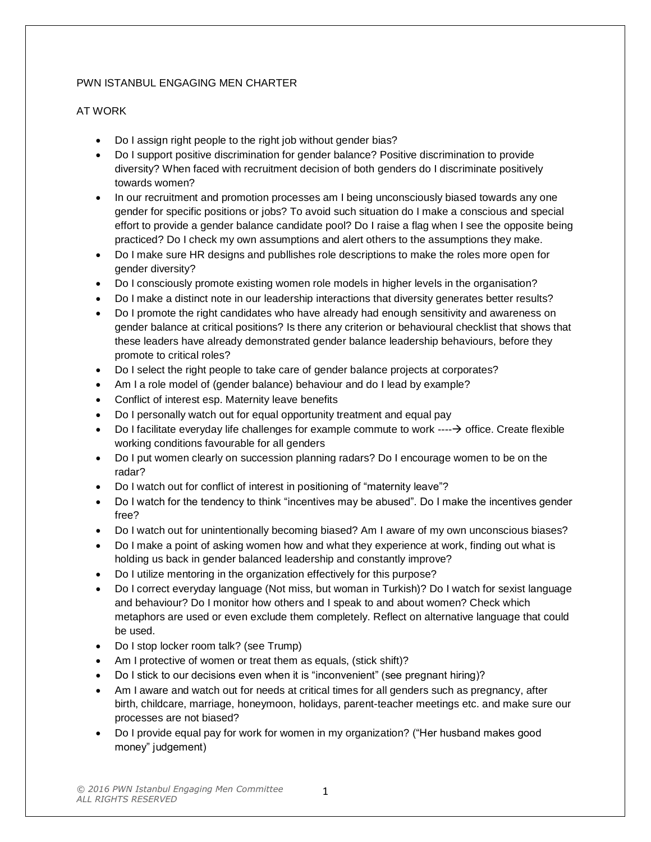## PWN ISTANBUL ENGAGING MEN CHARTER

## AT WORK

- Do I assign right people to the right job without gender bias?
- Do I support positive discrimination for gender balance? Positive discrimination to provide diversity? When faced with recruitment decision of both genders do I discriminate positively towards women?
- In our recruitment and promotion processes am I being unconsciously biased towards any one gender for specific positions or jobs? To avoid such situation do I make a conscious and special effort to provide a gender balance candidate pool? Do I raise a flag when I see the opposite being practiced? Do I check my own assumptions and alert others to the assumptions they make.
- Do I make sure HR designs and publlishes role descriptions to make the roles more open for gender diversity?
- Do I consciously promote existing women role models in higher levels in the organisation?
- Do I make a distinct note in our leadership interactions that diversity generates better results?
- Do I promote the right candidates who have already had enough sensitivity and awareness on gender balance at critical positions? Is there any criterion or behavioural checklist that shows that these leaders have already demonstrated gender balance leadership behaviours, before they promote to critical roles?
- Do I select the right people to take care of gender balance projects at corporates?
- Am I a role model of (gender balance) behaviour and do I lead by example?
- Conflict of interest esp. Maternity leave benefits
- Do I personally watch out for equal opportunity treatment and equal pay
- Do I facilitate everyday life challenges for example commute to work  $---\rightarrow$  office. Create flexible working conditions favourable for all genders
- Do I put women clearly on succession planning radars? Do I encourage women to be on the radar?
- Do I watch out for conflict of interest in positioning of "maternity leave"?
- Do I watch for the tendency to think "incentives may be abused". Do I make the incentives gender free?
- Do I watch out for unintentionally becoming biased? Am I aware of my own unconscious biases?
- Do I make a point of asking women how and what they experience at work, finding out what is holding us back in gender balanced leadership and constantly improve?
- Do I utilize mentoring in the organization effectively for this purpose?
- Do I correct everyday language (Not miss, but woman in Turkish)? Do I watch for sexist language and behaviour? Do I monitor how others and I speak to and about women? Check which metaphors are used or even exclude them completely. Reflect on alternative language that could be used.
- Do I stop locker room talk? (see Trump)
- Am I protective of women or treat them as equals, (stick shift)?
- Do I stick to our decisions even when it is "inconvenient" (see pregnant hiring)?
- Am I aware and watch out for needs at critical times for all genders such as pregnancy, after birth, childcare, marriage, honeymoon, holidays, parent-teacher meetings etc. and make sure our processes are not biased?
- Do I provide equal pay for work for women in my organization? ("Her husband makes good money" judgement)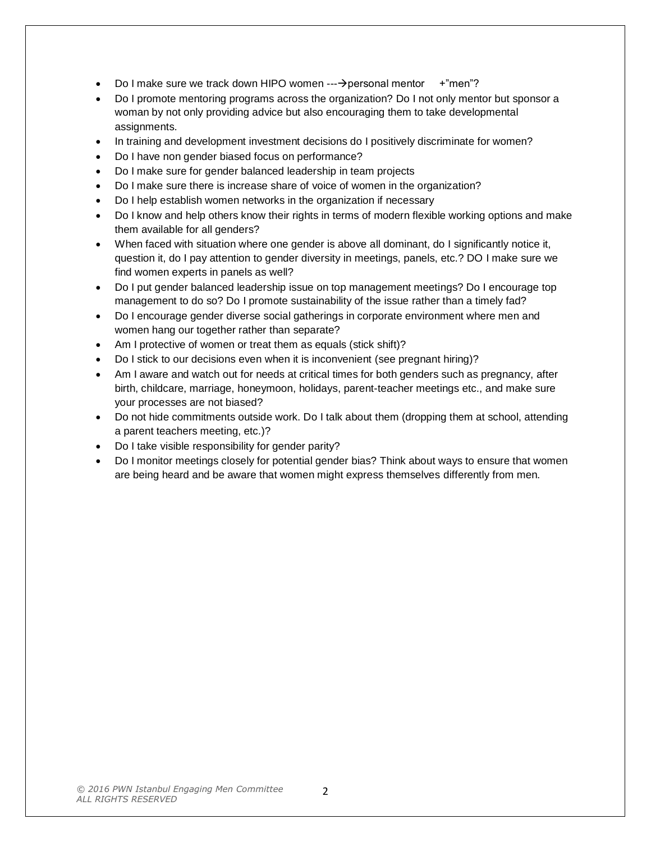- Do I make sure we track down HIPO women  $--\rightarrow$  personal mentor  $+$ "men"?
- Do I promote mentoring programs across the organization? Do I not only mentor but sponsor a woman by not only providing advice but also encouraging them to take developmental assignments.
- In training and development investment decisions do I positively discriminate for women?
- Do I have non gender biased focus on performance?
- Do I make sure for gender balanced leadership in team projects
- Do I make sure there is increase share of voice of women in the organization?
- Do I help establish women networks in the organization if necessary
- Do I know and help others know their rights in terms of modern flexible working options and make them available for all genders?
- When faced with situation where one gender is above all dominant, do I significantly notice it, question it, do I pay attention to gender diversity in meetings, panels, etc.? DO I make sure we find women experts in panels as well?
- Do I put gender balanced leadership issue on top management meetings? Do I encourage top management to do so? Do I promote sustainability of the issue rather than a timely fad?
- Do I encourage gender diverse social gatherings in corporate environment where men and women hang our together rather than separate?
- Am I protective of women or treat them as equals (stick shift)?
- Do I stick to our decisions even when it is inconvenient (see pregnant hiring)?
- Am I aware and watch out for needs at critical times for both genders such as pregnancy, after birth, childcare, marriage, honeymoon, holidays, parent-teacher meetings etc., and make sure your processes are not biased?
- Do not hide commitments outside work. Do I talk about them (dropping them at school, attending a parent teachers meeting, etc.)?
- Do I take visible responsibility for gender parity?
- Do I monitor meetings closely for potential gender bias? Think about ways to ensure that women are being heard and be aware that women might express themselves differently from men.